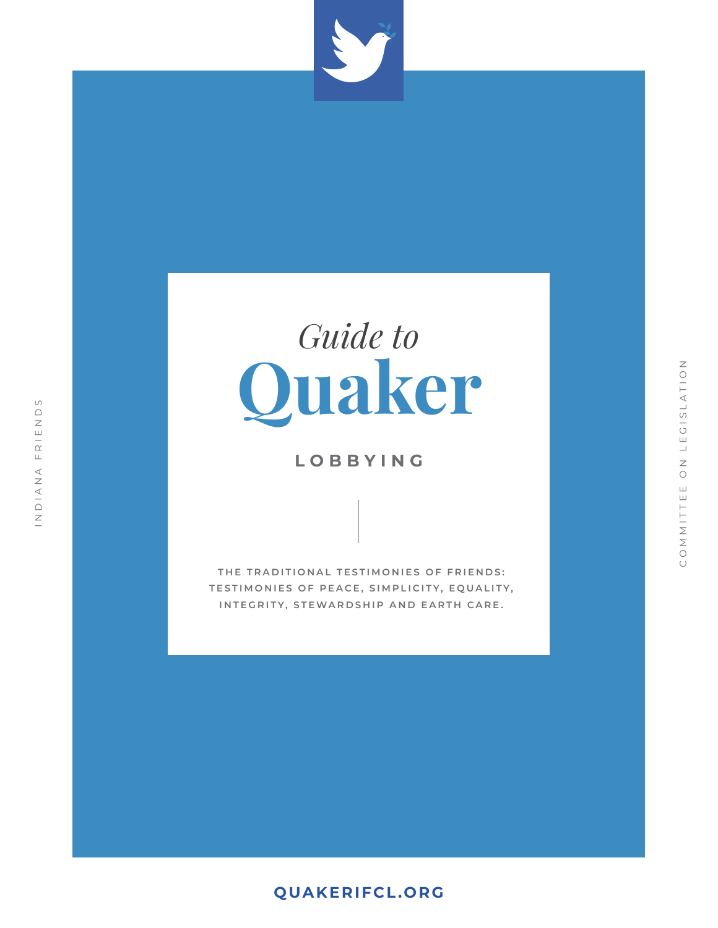

# **Quaker** *Guide to*

### **LOBBYING**

**THE TRADITIONAL TESTIMONIES OF FRIENDS: TESTIMONIES OF PEACE, SIMPLICITY, EQUALITY, INTEGRITY, STEWARDSHIP AND EARTH CARE.**

### **[QUAKERIFCL.ORG](https://www.quakerifcl.org)**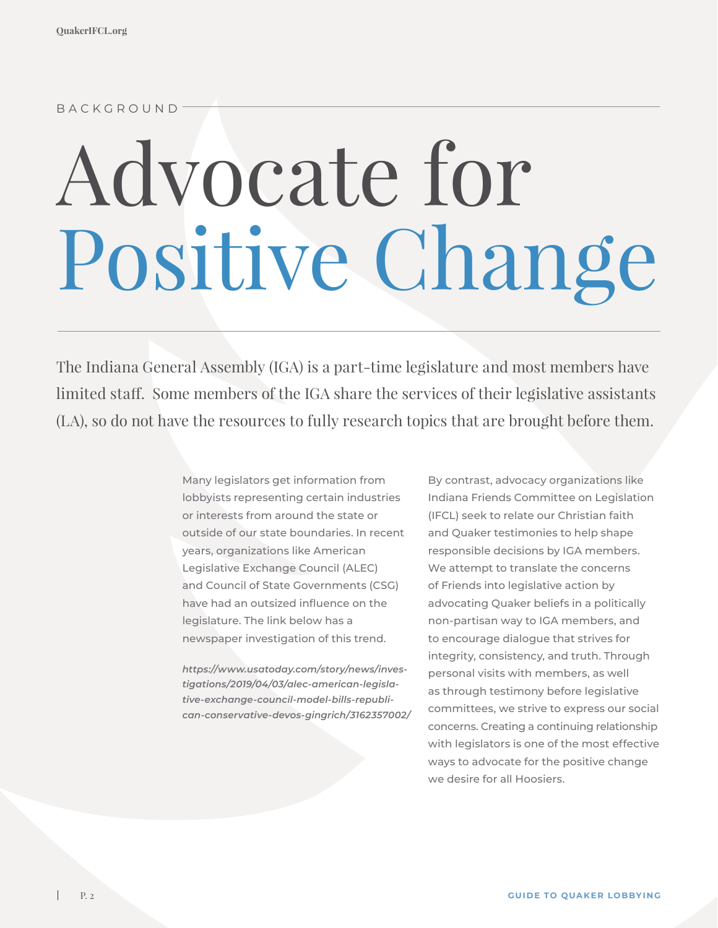#### BACKGROUND

# Advocate for Positive Change

The Indiana General Assembly (IGA) is a part-time legislature and most members have limited staff. Some members of the IGA share the services of their legislative assistants (LA), so do not have the resources to fully research topics that are brought before them.

> Many legislators get information from lobbyists representing certain industries or interests from around the state or outside of our state boundaries. In recent years, organizations like American Legislative Exchange Council (ALEC) and Council of State Governments (CSG) have had an outsized influence on the legislature. The link below has a newspaper investigation of this trend.

*https://www.usatoday.com/story/news/investigations/2019/04/03/alec-american-legislative-exchange-council-model-bills-republican-conservative-devos-gingrich/3162357002/*

By contrast, advocacy organizations like Indiana Friends Committee on Legislation (IFCL) seek to relate our Christian faith and Quaker testimonies to help shape responsible decisions by IGA members. We attempt to translate the concerns of Friends into legislative action by advocating Quaker beliefs in a politically non-partisan way to IGA members, and to encourage dialogue that strives for integrity, consistency, and truth. Through personal visits with members, as well as through testimony before legislative committees, we strive to express our social concerns. Creating a continuing relationship with legislators is one of the most effective ways to advocate for the positive change we desire for all Hoosiers.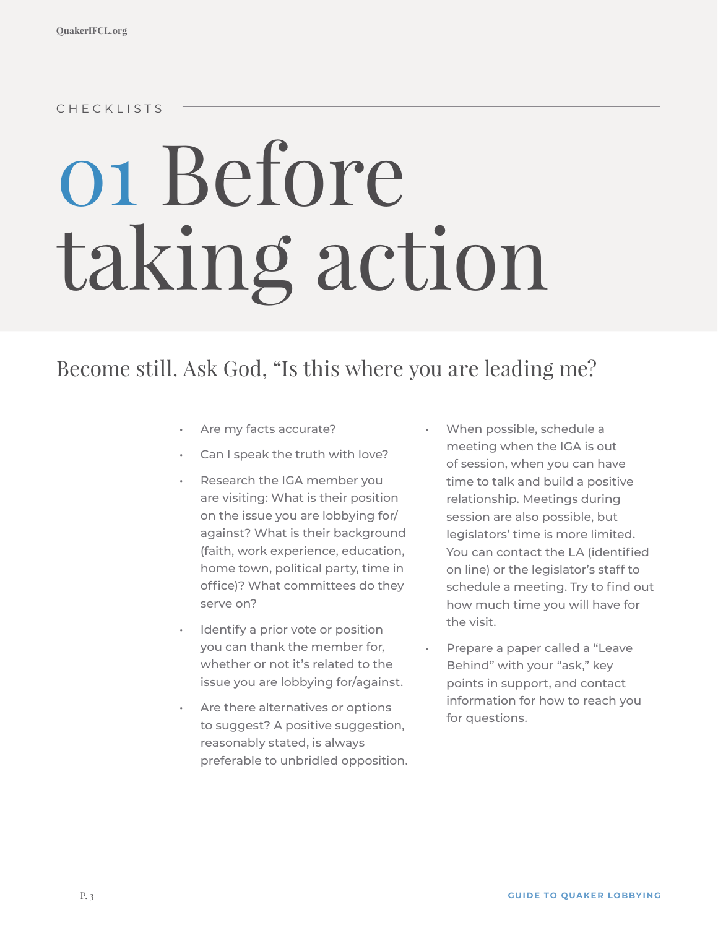CHECKLISTS

# 01 Before taking action

## Become still. Ask God, "Is this where you are leading me?

- Are my facts accurate?
- Can I speak the truth with love?
- Research the IGA member you are visiting: What is their position on the issue you are lobbying for/ against? What is their background (faith, work experience, education, home town, political party, time in office)? What committees do they serve on?
- Identify a prior vote or position you can thank the member for, whether or not it's related to the issue you are lobbying for/against.
- Are there alternatives or options to suggest? A positive suggestion, reasonably stated, is always preferable to unbridled opposition.
- When possible, schedule a meeting when the IGA is out of session, when you can have time to talk and build a positive relationship. Meetings during session are also possible, but legislators' time is more limited. You can contact the LA (identified on line) or the legislator's staff to schedule a meeting. Try to find out how much time you will have for the visit.
- Prepare a paper called a "Leave Behind" with your "ask," key points in support, and contact information for how to reach you for questions.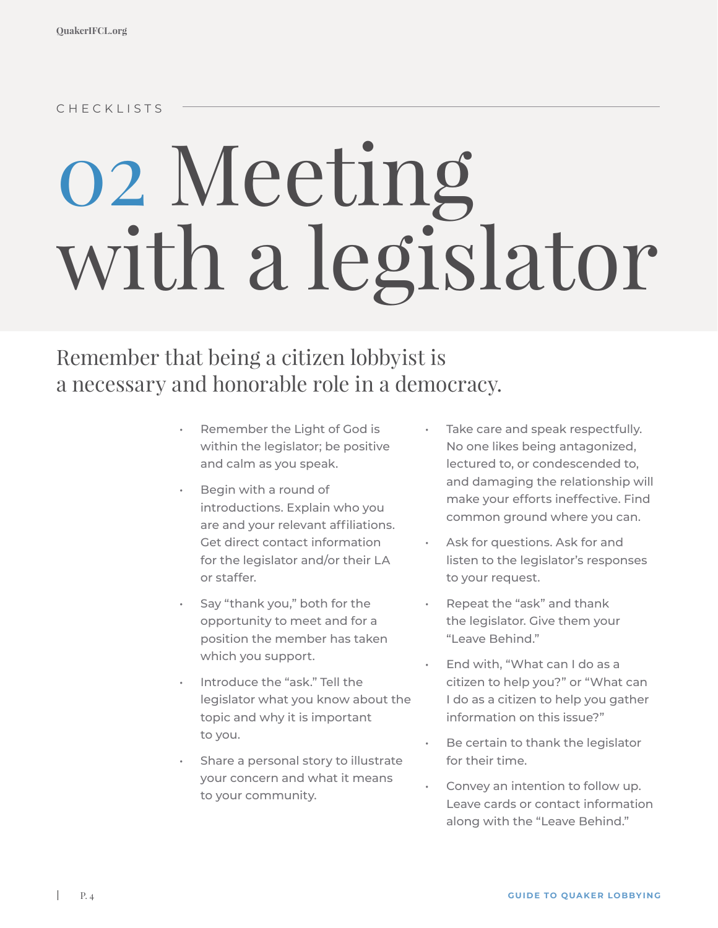CHECKLISTS

# 02 Meeting with a legislator

## Remember that being a citizen lobbyist is a necessary and honorable role in a democracy.

- Remember the Light of God is within the legislator; be positive and calm as you speak.
- Begin with a round of introductions. Explain who you are and your relevant affiliations. Get direct contact information for the legislator and/or their LA or staffer.
- Say "thank you," both for the opportunity to meet and for a position the member has taken which you support.
- Introduce the "ask." Tell the legislator what you know about the topic and why it is important to you.
- Share a personal story to illustrate your concern and what it means to your community.
- Take care and speak respectfully. No one likes being antagonized, lectured to, or condescended to, and damaging the relationship will make your efforts ineffective. Find common ground where you can.
- Ask for questions. Ask for and listen to the legislator's responses to your request.
- Repeat the "ask" and thank the legislator. Give them your "Leave Behind."
- End with, "What can I do as a citizen to help you?" or "What can I do as a citizen to help you gather information on this issue?"
- Be certain to thank the legislator for their time.
- Convey an intention to follow up. Leave cards or contact information along with the "Leave Behind."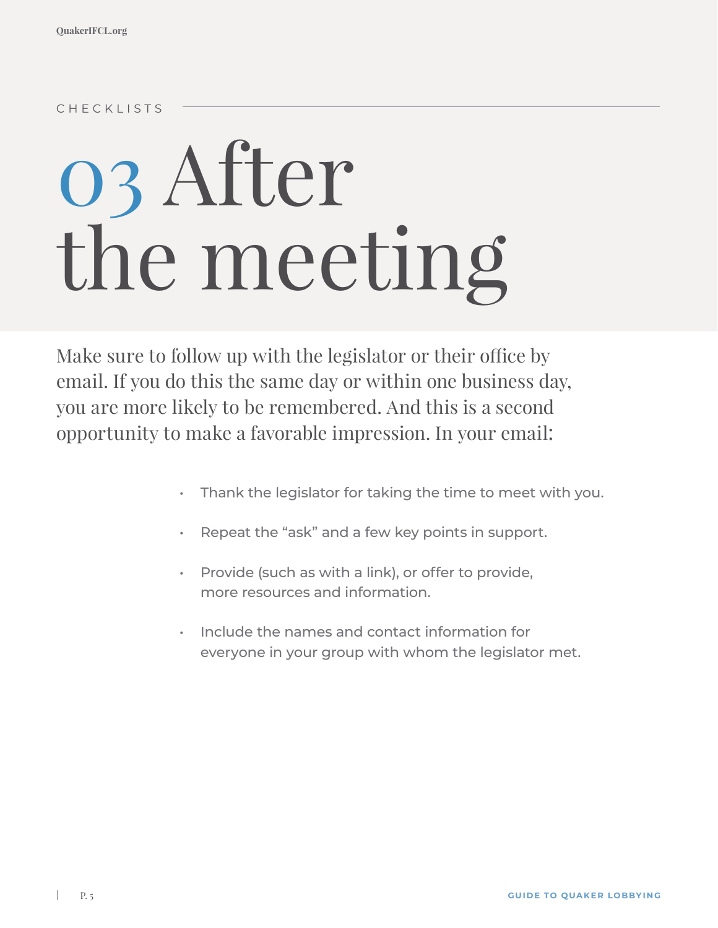CHECKLISTS

# 03 After the meeting

Make sure to follow up with the legislator or their office by email. If you do this the same day or within one business day, you are more likely to be remembered. And this is a second opportunity to make a favorable impression. In your email:

- Thank the legislator for taking the time to meet with you.
- Repeat the "ask" and a few key points in support.
- Provide (such as with a link), or offer to provide, more resources and information.
- Include the names and contact information for everyone in your group with whom the legislator met.